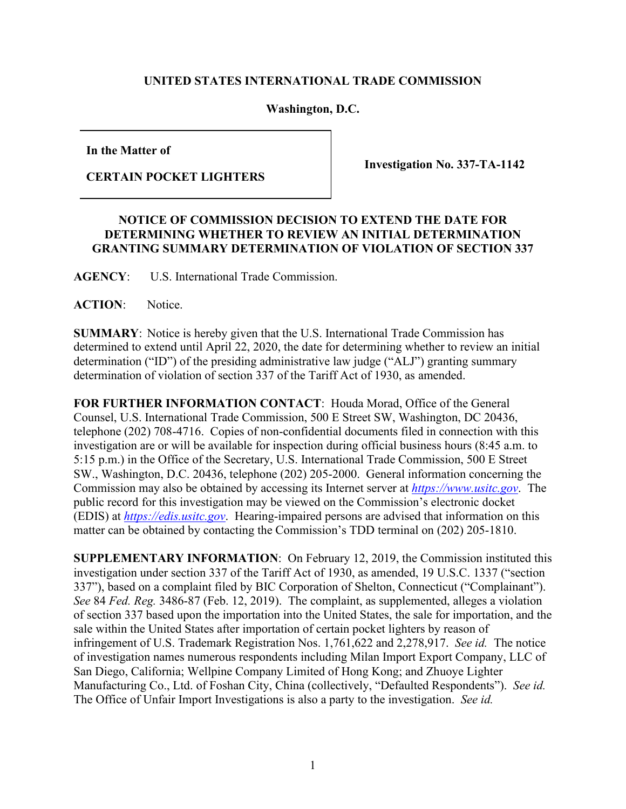## **UNITED STATES INTERNATIONAL TRADE COMMISSION**

**Washington, D.C.**

**In the Matter of**

**CERTAIN POCKET LIGHTERS** 

**Investigation No. 337-TA-1142**

## **NOTICE OF COMMISSION DECISION TO EXTEND THE DATE FOR DETERMINING WHETHER TO REVIEW AN INITIAL DETERMINATION GRANTING SUMMARY DETERMINATION OF VIOLATION OF SECTION 337**

**AGENCY**: U.S. International Trade Commission.

**ACTION**: Notice.

**SUMMARY**: Notice is hereby given that the U.S. International Trade Commission has determined to extend until April 22, 2020, the date for determining whether to review an initial determination ("ID") of the presiding administrative law judge ("ALJ") granting summary determination of violation of section 337 of the Tariff Act of 1930, as amended.

**FOR FURTHER INFORMATION CONTACT**: Houda Morad, Office of the General Counsel, U.S. International Trade Commission, 500 E Street SW, Washington, DC 20436, telephone (202) 708-4716. Copies of non-confidential documents filed in connection with this investigation are or will be available for inspection during official business hours (8:45 a.m. to 5:15 p.m.) in the Office of the Secretary, U.S. International Trade Commission, 500 E Street SW., Washington, D.C. 20436, telephone (202) 205-2000. General information concerning the Commission may also be obtained by accessing its Internet server at *[https://www.usitc.gov](https://www.usitc.gov/)*. The public record for this investigation may be viewed on the Commission's electronic docket (EDIS) at *[https://edis.usitc.gov](http://edis.usitc.gov/)*. Hearing-impaired persons are advised that information on this matter can be obtained by contacting the Commission's TDD terminal on (202) 205-1810.

**SUPPLEMENTARY INFORMATION**: On February 12, 2019, the Commission instituted this investigation under section 337 of the Tariff Act of 1930, as amended, 19 U.S.C. 1337 ("section 337"), based on a complaint filed by BIC Corporation of Shelton, Connecticut ("Complainant"). *See* 84 *Fed. Reg.* 3486-87 (Feb. 12, 2019). The complaint, as supplemented, alleges a violation of section 337 based upon the importation into the United States, the sale for importation, and the sale within the United States after importation of certain pocket lighters by reason of infringement of U.S. Trademark Registration Nos. 1,761,622 and 2,278,917. *See id.* The notice of investigation names numerous respondents including Milan Import Export Company, LLC of San Diego, California; Wellpine Company Limited of Hong Kong; and Zhuoye Lighter Manufacturing Co., Ltd. of Foshan City, China (collectively, "Defaulted Respondents"). *See id.* The Office of Unfair Import Investigations is also a party to the investigation. *See id.*